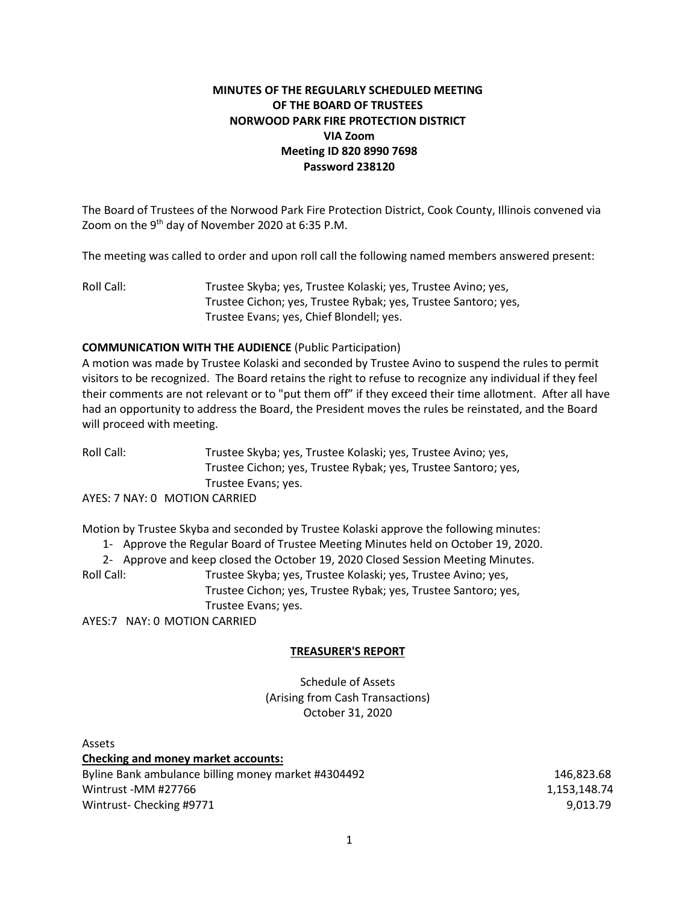## **MINUTES OF THE REGULARLY SCHEDULED MEETING OF THE BOARD OF TRUSTEES NORWOOD PARK FIRE PROTECTION DISTRICT VIA Zoom Meeting ID 820 8990 7698 Password 238120**

The Board of Trustees of the Norwood Park Fire Protection District, Cook County, Illinois convened via Zoom on the  $9<sup>th</sup>$  day of November 2020 at 6:35 P.M.

The meeting was called to order and upon roll call the following named members answered present:

Roll Call: Trustee Skyba; yes, Trustee Kolaski; yes, Trustee Avino; yes, Trustee Cichon; yes, Trustee Rybak; yes, Trustee Santoro; yes, Trustee Evans; yes, Chief Blondell; yes.

### **COMMUNICATION WITH THE AUDIENCE** (Public Participation)

A motion was made by Trustee Kolaski and seconded by Trustee Avino to suspend the rules to permit visitors to be recognized. The Board retains the right to refuse to recognize any individual if they feel their comments are not relevant or to "put them off" if they exceed their time allotment. After all have had an opportunity to address the Board, the President moves the rules be reinstated, and the Board will proceed with meeting.

Roll Call: Trustee Skyba; yes, Trustee Kolaski; yes, Trustee Avino; yes, Trustee Cichon; yes, Trustee Rybak; yes, Trustee Santoro; yes, Trustee Evans; yes.

AYES: 7 NAY: 0 MOTION CARRIED

Motion by Trustee Skyba and seconded by Trustee Kolaski approve the following minutes:

1- Approve the Regular Board of Trustee Meeting Minutes held on October 19, 2020.

2- Approve and keep closed the October 19, 2020 Closed Session Meeting Minutes.

Roll Call: Trustee Skyba; yes, Trustee Kolaski; yes, Trustee Avino; yes,

Trustee Cichon; yes, Trustee Rybak; yes, Trustee Santoro; yes, Trustee Evans; yes.

AYES:7 NAY: 0 MOTION CARRIED

### **TREASURER'S REPORT**

Schedule of Assets (Arising from Cash Transactions) October 31, 2020

Assets **Checking and money market accounts:** Byline Bank ambulance billing money market #4304492 146,823.68 Wintrust -MM #27766 1,153,148.74 Wintrust- Checking #9771 9,013.79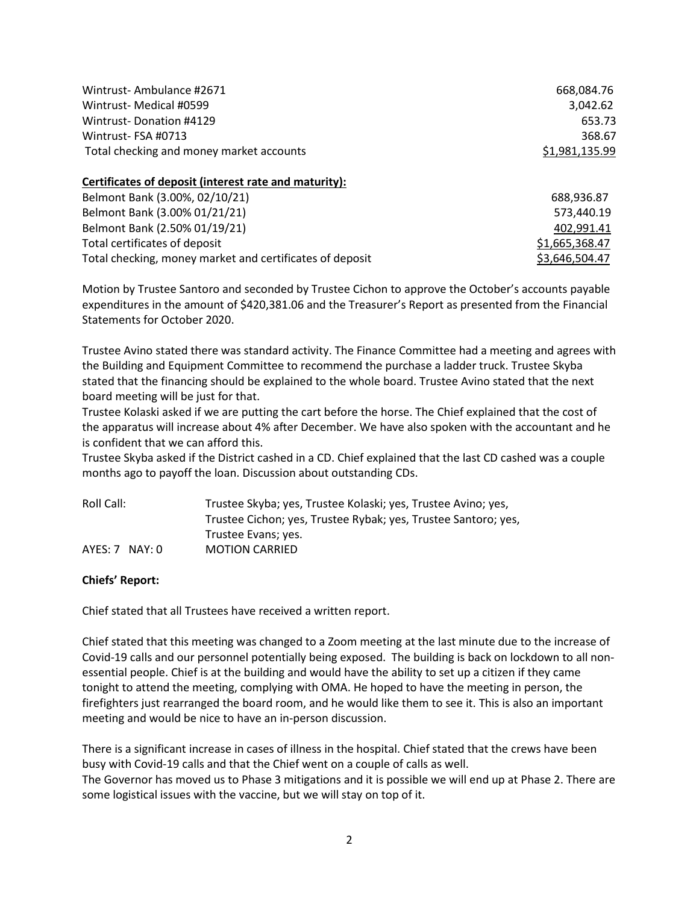| Wintrust-Ambulance #2671                                 | 668,084.76     |
|----------------------------------------------------------|----------------|
| Wintrust- Medical #0599                                  | 3,042.62       |
| Wintrust-Donation #4129                                  | 653.73         |
| Wintrust-FSA #0713                                       | 368.67         |
| Total checking and money market accounts                 | \$1,981,135.99 |
| Certificates of deposit (interest rate and maturity):    |                |
| Belmont Bank (3.00%, 02/10/21)                           | 688,936.87     |
| Belmont Bank (3.00% 01/21/21)                            | 573,440.19     |
| Belmont Bank (2.50% 01/19/21)                            | 402.991.41     |
| Total certificates of deposit                            | \$1,665,368.47 |
| Total checking, money market and certificates of deposit | \$3,646,504.47 |

Motion by Trustee Santoro and seconded by Trustee Cichon to approve the October's accounts payable expenditures in the amount of \$420,381.06 and the Treasurer's Report as presented from the Financial Statements for October 2020.

Trustee Avino stated there was standard activity. The Finance Committee had a meeting and agrees with the Building and Equipment Committee to recommend the purchase a ladder truck. Trustee Skyba stated that the financing should be explained to the whole board. Trustee Avino stated that the next board meeting will be just for that.

Trustee Kolaski asked if we are putting the cart before the horse. The Chief explained that the cost of the apparatus will increase about 4% after December. We have also spoken with the accountant and he is confident that we can afford this.

Trustee Skyba asked if the District cashed in a CD. Chief explained that the last CD cashed was a couple months ago to payoff the loan. Discussion about outstanding CDs.

| Roll Call:       | Trustee Skyba; yes, Trustee Kolaski; yes, Trustee Avino; yes,  |  |
|------------------|----------------------------------------------------------------|--|
|                  | Trustee Cichon; yes, Trustee Rybak; yes, Trustee Santoro; yes, |  |
|                  | Trustee Evans; yes.                                            |  |
| $AYES: 7$ NAY: 0 | <b>MOTION CARRIED</b>                                          |  |

### **Chiefs' Report:**

Chief stated that all Trustees have received a written report.

Chief stated that this meeting was changed to a Zoom meeting at the last minute due to the increase of Covid-19 calls and our personnel potentially being exposed. The building is back on lockdown to all nonessential people. Chief is at the building and would have the ability to set up a citizen if they came tonight to attend the meeting, complying with OMA. He hoped to have the meeting in person, the firefighters just rearranged the board room, and he would like them to see it. This is also an important meeting and would be nice to have an in-person discussion.

There is a significant increase in cases of illness in the hospital. Chief stated that the crews have been busy with Covid-19 calls and that the Chief went on a couple of calls as well. The Governor has moved us to Phase 3 mitigations and it is possible we will end up at Phase 2. There are some logistical issues with the vaccine, but we will stay on top of it.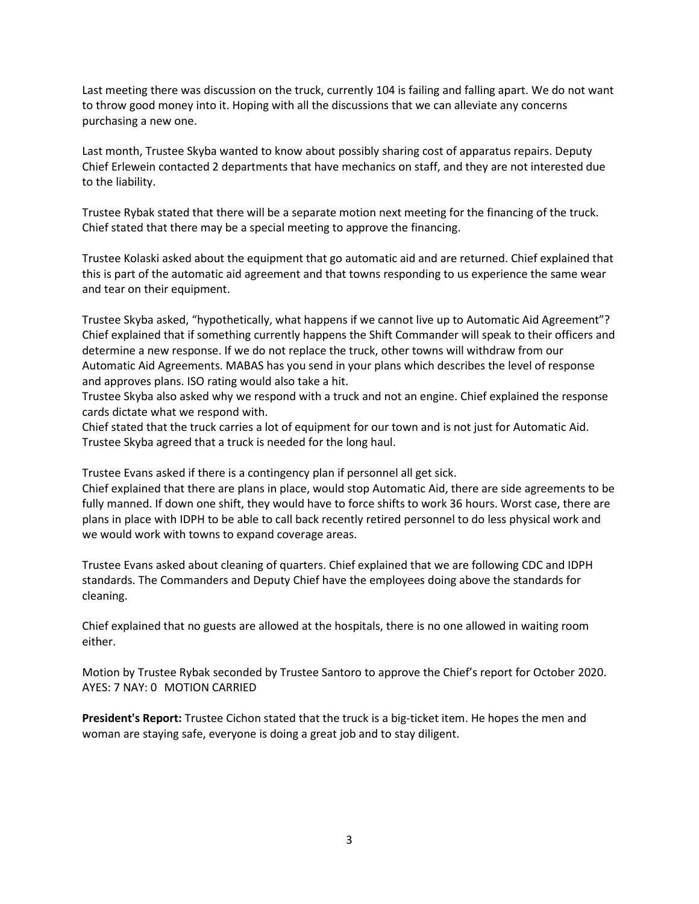Last meeting there was discussion on the truck, currently 104 is failing and falling apart. We do not want to throw good money into it. Hoping with all the discussions that we can alleviate any concerns purchasing a new one.

Last month, Trustee Skyba wanted to know about possibly sharing cost of apparatus repairs. Deputy Chief Erlewein contacted 2 departments that have mechanics on staff, and they are not interested due to the liability.

Trustee Rybak stated that there will be a separate motion next meeting for the financing of the truck. Chief stated that there may be a special meeting to approve the financing.

Trustee Kolaski asked about the equipment that go automatic aid and are returned. Chief explained that this is part of the automatic aid agreement and that towns responding to us experience the same wear and tear on their equipment.

Trustee Skyba asked, "hypothetically, what happens if we cannot live up to Automatic Aid Agreement"? Chief explained that if something currently happens the Shift Commander will speak to their officers and determine a new response. If we do not replace the truck, other towns will withdraw from our Automatic Aid Agreements. MABAS has you send in your plans which describes the level of response and approves plans. ISO rating would also take a hit.

Trustee Skyba also asked why we respond with a truck and not an engine. Chief explained the response cards dictate what we respond with.

Chief stated that the truck carries a lot of equipment for our town and is not just for Automatic Aid. Trustee Skyba agreed that a truck is needed for the long haul.

Trustee Evans asked if there is a contingency plan if personnel all get sick.

Chief explained that there are plans in place, would stop Automatic Aid, there are side agreements to be fully manned. If down one shift, they would have to force shifts to work 36 hours. Worst case, there are plans in place with IDPH to be able to call back recently retired personnel to do less physical work and we would work with towns to expand coverage areas.

Trustee Evans asked about cleaning of quarters. Chief explained that we are following CDC and IDPH standards. The Commanders and Deputy Chief have the employees doing above the standards for cleaning.

Chief explained that no guests are allowed at the hospitals, there is no one allowed in waiting room either.

Motion by Trustee Rybak seconded by Trustee Santoro to approve the Chief's report for October 2020. AYES: 7 NAY: 0 MOTION CARRIED

**President's Report:** Trustee Cichon stated that the truck is a big-ticket item. He hopes the men and woman are staying safe, everyone is doing a great job and to stay diligent.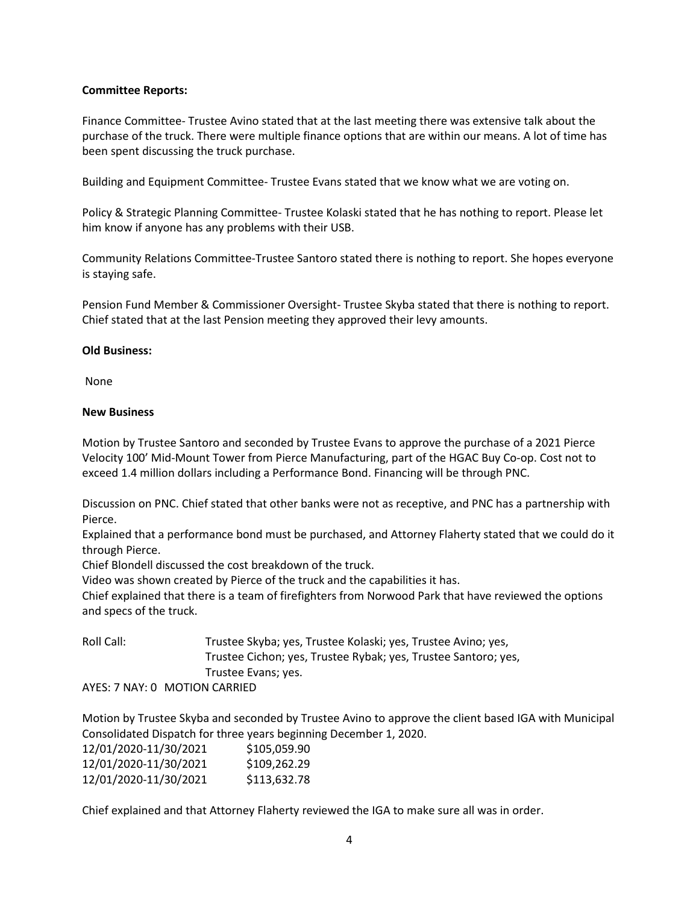### **Committee Reports:**

Finance Committee- Trustee Avino stated that at the last meeting there was extensive talk about the purchase of the truck. There were multiple finance options that are within our means. A lot of time has been spent discussing the truck purchase.

Building and Equipment Committee- Trustee Evans stated that we know what we are voting on.

Policy & Strategic Planning Committee- Trustee Kolaski stated that he has nothing to report. Please let him know if anyone has any problems with their USB.

Community Relations Committee-Trustee Santoro stated there is nothing to report. She hopes everyone is staying safe.

Pension Fund Member & Commissioner Oversight- Trustee Skyba stated that there is nothing to report. Chief stated that at the last Pension meeting they approved their levy amounts.

#### **Old Business:**

None

#### **New Business**

Motion by Trustee Santoro and seconded by Trustee Evans to approve the purchase of a 2021 Pierce Velocity 100' Mid-Mount Tower from Pierce Manufacturing, part of the HGAC Buy Co-op. Cost not to exceed 1.4 million dollars including a Performance Bond. Financing will be through PNC.

Discussion on PNC. Chief stated that other banks were not as receptive, and PNC has a partnership with Pierce.

Explained that a performance bond must be purchased, and Attorney Flaherty stated that we could do it through Pierce.

Chief Blondell discussed the cost breakdown of the truck.

Video was shown created by Pierce of the truck and the capabilities it has.

Chief explained that there is a team of firefighters from Norwood Park that have reviewed the options and specs of the truck.

Roll Call: Trustee Skyba; yes, Trustee Kolaski; yes, Trustee Avino; yes, Trustee Cichon; yes, Trustee Rybak; yes, Trustee Santoro; yes, Trustee Evans; yes.

AYES: 7 NAY: 0 MOTION CARRIED

Motion by Trustee Skyba and seconded by Trustee Avino to approve the client based IGA with Municipal Consolidated Dispatch for three years beginning December 1, 2020.

| 12/01/2020-11/30/2021 | \$105,059.90 |
|-----------------------|--------------|
| 12/01/2020-11/30/2021 | \$109,262.29 |
| 12/01/2020-11/30/2021 | \$113,632.78 |

Chief explained and that Attorney Flaherty reviewed the IGA to make sure all was in order.